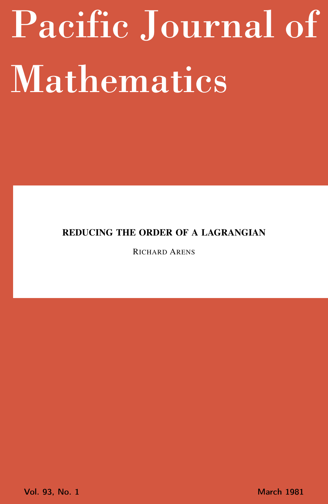# <span id="page-0-0"></span>Pacific Journal of Mathematics

## REDUCING THE ORDER OF A LAGRANGIAN

RICHARD ARENS

Vol. 93, No. 1 March 1981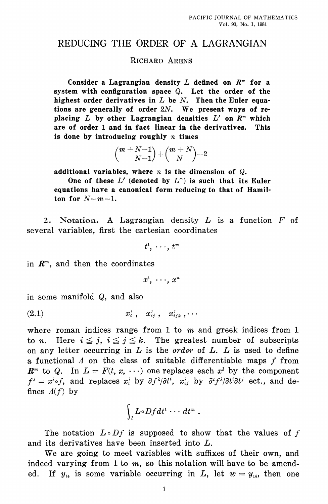### REDUCING THE ORDER OF A LAGRANGIAN

#### **RICHARD ARENS**

Consider a Lagrangian density  $L$  defined on  $R<sup>m</sup>$  for a system with configuration space  $Q$ . Let the order of the highest order derivatives in  $L$  be  $N$ . Then the Euler equations are generally of order  $2N$ . We present ways of replacing L by other Lagrangian densities  $L'$  on  $R<sup>m</sup>$  which are of order 1 and in fact linear in the derivatives. This is done by introducing roughly  $n$  times

$$
{m+N-1\choose N-1}+{m+N\choose N} -2
$$

additional variables, where  $n$  is the dimension of  $Q$ .

One of these  $L'$  (denoted by  $L^{\frown}$ ) is such that its Euler equations have a canonical form reducing to that of Hamilton for  $N = m = 1$ .

2. Notation. A Lagrangian density  $L$  is a function  $F$  of several variables, first the cartesian coordinates

 $t^1$ ,  $\cdots$ ,  $t^m$ 

in  $R^m$ , and then the coordinates

 $x^1$ ,  $\cdots$ ,  $x^n$ 

in some manifold  $Q$ , and also

$$
(2.1) \t\t x_i^2, x_{ij}^2, x_{ijk}^2, \cdots
$$

where roman indices range from 1 to  $m$  and greek indices from 1 to *n*. Here  $i \leq j$ ,  $i \leq j \leq k$ . The greatest number of subscripts on any letter occurring in  $L$  is the *order* of  $L$ .  $L$  is used to define a functional  $\Lambda$  on the class of suitable differentiable maps f from  $\mathbb{R}^m$  to Q. In  $L = F(t, x, \cdots)$  one replaces each  $x^2$  by the component  $f^{\lambda} = x^{\lambda} \circ f$ , and replaces  $x_i^{\lambda}$  by  $\partial f^{\lambda}/\partial t^i$ ,  $x_i^{\lambda}$ , by  $\partial^2 f^{\lambda}/\partial t^i \partial t^j$  ect., and defines  $\Lambda(f)$  by

$$
\int_I L\!\circ\! Df dt^1\cdots dt^m\ .
$$

The notation  $L \circ Df$  is supposed to show that the values of f and its derivatives have been inserted into L.

We are going to meet variables with suffixes of their own, and indeed varying from 1 to  $m$ , so this notation will have to be amend-If  $y_{14}$  is some variable occurring in L, let  $w = y_{14}$ , then one ed.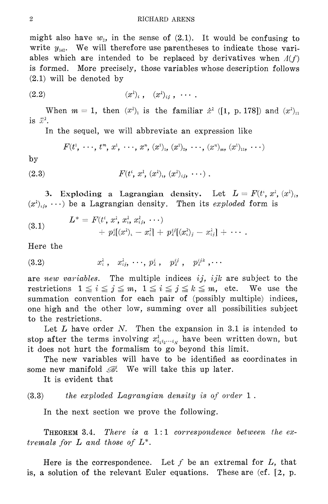might also have  $w_2$ , in the sense of (2.1). It would be confusing to write  $y_{142}$ . We will therefore use parentheses to indicate those variables which are intended to be replaced by derivatives when  $A(f)$ is formed. More precisely, those variables whose description follows  $(2.1)$  will be denoted by

$$
(2.2) \qquad \qquad (x^{\lambda})_i, \quad (x^{\lambda})_{ij}, \quad \cdots.
$$

When  $m = 1$ , then  $(x^{\lambda})$  is the familiar  $\dot{x}^{\lambda}$  ([1, p. 178]) and  $(x^{\lambda})_{11}$ is  $\ddot{x}^{\lambda}$ .

In the sequel, we will abbreviate an expression like

$$
F(t^1, \ldots, t^m, x^1, \ldots, x^n, (x^1)_1, (x^1)_2, \ldots, (x^n)_m, (x^1)_{11}, \ldots)
$$

 $by$ 

(2.3) 
$$
F(t^i, x^{\lambda}, (x^{\lambda})_i, (x^{\lambda})_{ij}, \cdots).
$$

3. Exploding a Lagrangian density. Let  $L = F(t^i, x^i, (x^i)_i,$  $(x^{\lambda})_{ij}, \cdots$  be a Lagrangian density. Then its exploded form is

(3.1) 
$$
L^* = F(t^i, x^{\lambda}, x^{\lambda}_i, x^{\lambda}_i, \cdots) + p^i_i[(x^2)_i - x^{\lambda}_i] + p^{i j}_i[(x^2)_j - x^{\lambda}_i] + \cdots
$$

Here the

$$
(3.2) \t x_i^{\lambda}, \t x_{ij}^{\lambda}, \cdots, p_{\lambda}^{i}, \t p_{\lambda}^{ij}, \t p_{\lambda}^{ijk}, \cdots
$$

are new variables. The multiple indices  $ij$ ,  $ijk$  are subject to the restrictions  $1 \leq i \leq j \leq m$ ,  $1 \leq i \leq j \leq k \leq m$ , etc. We use the summation convention for each pair of (possibly multiple) indices, one high and the other low, summing over all possibilities subject to the restrictions.

Let  $L$  have order  $N$ . Then the expansion in 3.1 is intended to stop after the terms involving  $x_{i_1 i_2 \cdots i_N}^2$  have been written down, but it does not hurt the formalism to go beyond this limit.

The new variables will have to be identified as coordinates in some new manifold  $\mathcal{B}$ . We will take this up later.

It is evident that

#### $(3.3)$ the exploded Lagrangian density is of order 1.

In the next section we prove the following.

There is a  $1:1$  correspondence between the ex-THEOREM 3.4. tremals for  $L$  and those of  $L^*$ .

Here is the correspondence. Let  $f$  be an extremal for  $L$ , that is, a solution of the relevant Euler equations. These are  $(cf. [2, p.$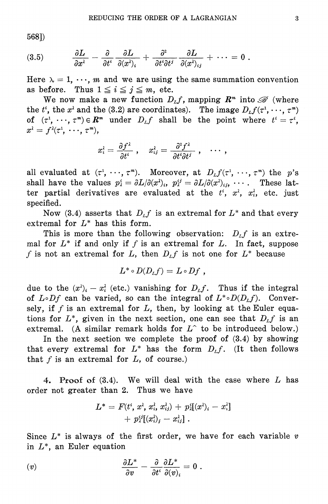568])

$$
(3.5) \qquad \frac{\partial L}{\partial x^{\lambda}} - \frac{\partial}{\partial t^i} \frac{\partial L}{\partial (x^{\lambda})_i} + \frac{\partial^2}{\partial t^i \partial t^j} \frac{\partial L}{\partial (x^{\lambda})_{ij}} + \cdots = 0.
$$

Here  $\lambda = 1, \dots, m$  and we are using the same summation convention as before. Thus  $1 \leq i \leq j \leq m$ , etc.

We now make a new function  $D_{L}f$ , mapping  $\mathbb{R}^{m}$  into  $\mathscr{B}$  (where the  $t^i$ , the  $x^i$  and the (3.2) are coordinates). The image  $D_L f(\tau^1, \dots, \tau^m)$ of  $(\tau^1, \dots, \tau^m) \in \mathbb{R}^m$  under  $D_{L}f$  shall be the point where  $t^i = \tau^i$ ,  $x^{\lambda} = f^{\lambda}(\tau^1, \cdots, \tau^m),$ 

$$
x_i^\lambda = \frac{\partial f^\lambda}{\partial t^i} \; , \quad x_{ij}^\lambda = \frac{\partial^2 f^\lambda}{\partial t^i \partial t^j} \; , \quad \cdots \; ,
$$

all evaluated at  $(\tau^1, \dots, \tau^m)$ . Moreover, at  $D_L f(\tau^1, \dots, \tau^m)$  the p's shall have the values  $p_i^i = \partial L/\partial (x^i)_i$ ,  $p_i^{ij} = \partial L/\partial (x^i)_{ij}$ , ... These latter partial derivatives are evaluated at the  $t^i$ ,  $x^{\lambda}$ ,  $x^{\lambda}$ , etc. just specified.

Now (3.4) asserts that  $D_{L}f$  is an extremal for  $L^*$  and that every extremal for  $L^*$  has this form.

This is more than the following observation:  $D_{L}f$  is an extremal for  $L^*$  if and only if f is an extremal for L. In fact, suppose f is not an extremal for L, then  $D_L f$  is not one for  $L^*$  because

$$
L^* \circ D(D_L f) = L \circ Df ,
$$

due to the  $(x^2)_i - x^2_i$  (etc.) vanishing for  $D_L f$ . Thus if the integral of  $L \circ Df$  can be varied, so can the integral of  $L^* \circ D(D_L f)$ . Conversely, if f is an extremal for  $L$ , then, by looking at the Euler equations for  $L^*$ , given in the next section, one can see that  $D_L f$  is an extremal. (A similar remark holds for  $L^{\frown}$  to be introduced below.)

In the next section we complete the proof of  $(3.4)$  by showing that every extremal for  $L^*$  has the form  $D_L f$ . (It then follows that  $f$  is an extremal for  $L$ , of course.)

4. Proof of (3.4). We will deal with the case where L has order not greater than 2. Thus we have

$$
L^* = F(t^i, x^{\lambda}, x^{\lambda}_i, x^{\lambda}_{ij}) + p^i_{\lambda}[(x^{\lambda})_i - x^{\lambda}_i] \\ + p^{i}_{\lambda}[(x^{\lambda}_i)_j - x^{\lambda}_{ij}] \ .
$$

Since  $L^*$  is always of the first order, we have for each variable  $v$ in  $L^*$ , an Euler equation

$$
(v) \hspace{3.1em} \frac{\partial L^*}{\partial v} - \frac{\partial}{\partial t^i} \frac{\partial L^*}{\partial (v)_i} = 0 \; .
$$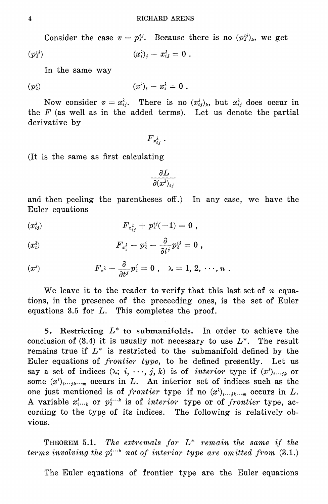Consider the case  $v = p_i^{ij}$ . Because there is no  $(p_i^{ij})_k$ , we get

$$
(p_i^{\iota j})\qquad \qquad (x_i^{\lambda})_j-x_{\iota j}^{\lambda}=0\ .
$$

In the same way

$$
(p_i^i) \qquad \qquad (x^{\lambda})_i - x_i^{\lambda} = 0 \; .
$$

Now consider  $v = x_{ij}^2$ . There is no  $(x_{ij}^2)_k$ , but  $x_{ij}^2$  does occur in the  $F$  (as well as in the added terms). Let us denote the partial derivative by

 $F_{x_{ij}}$ .

(It is the same as first calculating)

 $\frac{\partial L}{\partial (x^{\lambda})_{ij}}$ 

and then peeling the parentheses off.) In any case, we have the Euler equations

$$
(x_{ij}^{\lambda}) \hspace{3.1em} F_{x_{ij}^{\lambda}} + p_{\lambda}^{ij}(-1) = 0 \; ,
$$

$$
(x_i^{\lambda}) \hspace{3.1em} F_{x_i^{\lambda}} - p_{\lambda}^i - \frac{\partial}{\partial t^j} p_{\lambda}^{ij} = 0 \; ,
$$

$$
(x^{\lambda}) \hspace{1cm} F_{x^{\lambda}} - \frac{\partial}{\partial t^{j}} p_{\lambda}^{j} = 0 \hspace{.1cm}, \hspace{.1cm} \lambda = 1, \, 2, \, \cdots, \, n \; .
$$

We leave it to the reader to verify that this last set of n equations, in the presence of the preceeding ones, is the set of Euler equations 3.5 for  $L$ . This completes the proof.

5. Restricting  $L^*$  to submanifolds. In order to achieve the conclusion of  $(3.4)$  it is usually not necessary to use  $L^*$ . The result remains true if  $L^*$  is restricted to the submanifold defined by the Euler equations of *frontier type*, to be defined presently. Let us say a set of indices  $(\lambda; i, \dots, j, k)$  is of *interior* type if  $(x^{\lambda})_{i \dots jk}$  or some  $(x^{\lambda})_{i...i k...m}$  occurs in L. An interior set of indices such as the one just mentioned is of frontier type if no  $(x^{\lambda})_{i...i k...m}$  occurs in L. A variable  $x_{i...k}^i$  or  $p_i^{i...k}$  is of *interior* type or of *frontier* type, according to the type of its indices. The following is relatively obvious.

**THEOREM** 5.1. The extremals for  $L^*$  remain the same if the terms involving the  $p_i^{i \ldots k}$  not of interior type are omitted from (3.1.)

The Euler equations of frontier type are the Euler equations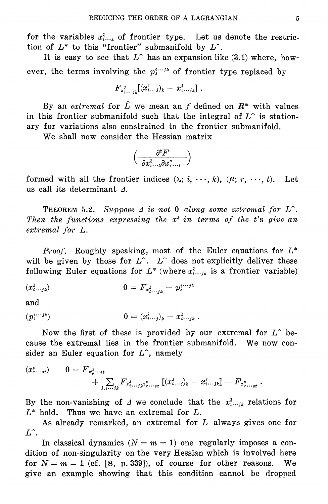for the variables  $x_{i...k}$  of frontier type. Let us denote the restriction of  $L^*$  to this "frontier" submanifold by  $L^*$ .

It is easy to see that  $L^{\hat{ }}$  has an expansion like (3.1) where, however, the terms involving the  $p_i^{i \cdots j_k}$  of frontier type replaced by

$$
F_{x_{i\cdots i k}^{\lambda}}[(x_{i\cdots j)_{k}}^{\lambda}-x_{i\cdots j k}^{\lambda}]\ .
$$

By an extremal for  $\hat{L}$  we mean an f defined on  $\mathbb{R}^m$  with values in this frontier submanifold such that the integral of  $L^{\hat{ }}$  is stationary for variations also constrained to the frontier submanifold.

We shall now consider the Hessian matrix

$$
\Big(\frac{\partial^2 F}{\partial x_{i\cdots k}^2\partial x_{r\cdots t}^\mu}\Big)
$$

formed with all the frontier indices  $(\lambda; i, \dots, k)$ ,  $(\mu; r, \dots, t)$ . Let us call its determinant  $\Lambda$ .

**THEOREM** 5.2. Suppose  $\Delta$  is not 0 along some extremal for  $L^{\sim}$ . Then the functions expressing the  $x^{\lambda}$  in terms of the t's give an extremal for L.

*Proof.* Roughly speaking, most of the Euler equations for  $L^*$ will be given by those for  $L^{\hat{ }}$ .  $L^{\hat{ }}$  does not explicitly deliver these following Euler equations for  $L^*$  (where  $x_i^{\lambda}$  is a frontier variable)

$$
(x_{i\cdots jk}^{\lambda}) \qquad \qquad 0 = F_{x_{i\cdots ik}^{\lambda}} - p_{\lambda}^{i\cdots jk}
$$

and

$$
(p_{\lambda}^{i\cdots jk})\qquad \qquad 0=(x_{i\cdots j})_{k}-x_{i\cdots jk}^{\lambda}.
$$

Now the first of these is provided by our extremal for  $L^{\frown}$  because the extremal lies in the frontier submanifold. We now consider an Euler equation for  $L^{\hat{ }}$ , namely

$$
(x_{r...st}^{\mu}) \qquad 0 = F_{x_r^{\mu}...st} + \sum_{\lambda,i...j_k} F_{x_{i...jk}^{\lambda}x_{r...st}^{\mu}} [(x_{i...j}^{\lambda})_k - x_{i...j_k}^{\lambda}] - F_{x_{r...st}^{\mu}}.
$$

By the non-vanishing of  $\Delta$  we conclude that the  $x_i^{\lambda}$  relations for  $L^*$  hold. Thus we have an extremal for  $L$ .

As already remarked, an extremal for L always gives one for  $L^{\widehat{ }}$ .

In classical dynamics  $(N = m = 1)$  one regularly imposes a condition of non-singularity on the very Hessian which is involved here for  $N = m = 1$  (cf. [8, p. 339]), of course for other reasons. We give an example showing that this condition cannot be dropped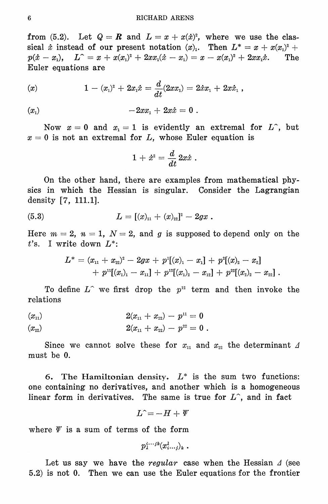from (5.2). Let  $Q = R$  and  $L = x + x(x)^2$ , where we use the classical *i* instead of our present notation  $(x)$ . Then  $L^* = x + x(x_1)^2 + ...$  $p(\dot{x}-x_1), \quad L^{\sim} = x + x(x_1)^2 + 2x x_1(\dot{x}-x_1) = x - x(x_1)^2 + 2x x_1 \dot{x}.$ The Euler equations are

$$
(x) \hspace{1cm} 1-(x_{1})^{2}+2x_{1}\dot{x}=\frac{d}{dt}(2xx_{1})=2\dot{x}x_{1}+2x\dot{x}_{1}\ ,
$$

$$
(x_1) \t -2x x_1 + 2x \dot{x} = 0.
$$

Now  $x = 0$  and  $x_1 = 1$  is evidently an extremal for  $L^{\hat{}}$ , but  $x = 0$  is not an extremal for L, whose Euler equation is

$$
1\,+\,\dot x^{\scriptscriptstyle 2} = \frac{d}{dt}\,2x\dot x\,\,.
$$

On the other hand, there are examples from mathematical physics in which the Hessian is singular. Consider the Lagrangian density  $[7, 111.1]$ .

(5.3) 
$$
L = [(x)_{11} + (x)_{22}]^2 - 2gx
$$

Here  $m = 2$ ,  $n = 1$ ,  $N = 2$ , and g is supposed to depend only on the  $t$ 's. I write down  $L^*$ :

$$
\begin{aligned} L^* &= (x_{\scriptscriptstyle 11} + x_{\scriptscriptstyle 22})^{\scriptscriptstyle 2} - 2gx + p^{\scriptscriptstyle 1}[(x)_{\scriptscriptstyle 1} - x_{\scriptscriptstyle 1}] + p^{\scriptscriptstyle 2}[(x)_{\scriptscriptstyle 2} - x_{\scriptscriptstyle 2}] \\&\hspace{2.17em} + p^{\scriptscriptstyle 11}[(x_{\scriptscriptstyle 1})_{\scriptscriptstyle 1} - x_{\scriptscriptstyle 11}] + p^{\scriptscriptstyle 12}[(x_{\scriptscriptstyle 1})_{\scriptscriptstyle 2} - x_{\scriptscriptstyle 12}] + p^{\scriptscriptstyle 22}[(x_{\scriptscriptstyle 2})_{\scriptscriptstyle 2} - x_{\scriptscriptstyle 22}] \end{aligned}
$$

To define  $L^{\hat{ }}$  we first drop the  $p^{12}$  term and then invoke the relations

$$
\begin{array}{ll} (x_{11}) & \qquad & 2(x_{11} + x_{22}) - p^{11} = 0 \\ (x_{22}) & \qquad & 2(x_{11} + x_{22}) - p^{22} = 0 \; . \end{array}
$$

Since we cannot solve these for  $x_{11}$  and  $x_{22}$  the determinant  $\Delta$ must be 0.

6. The Hamiltonian density.  $L^*$  is the sum two functions: one containing no derivatives, and another which is a homogeneous linear form in derivatives. The same is true for  $L<sup>2</sup>$ , and in fact

$$
L\,\hat{}=-H+\varPsi
$$

where  $\Psi$  is a sum of terms of the form

$$
p_{\lambda}^{i\cdots jk}(x_{i\cdots j})_{k} \ .
$$

Let us say we have the regular case when the Hessian  $\Delta$  (see 5.2) is not 0. Then we can use the Euler equations for the frontier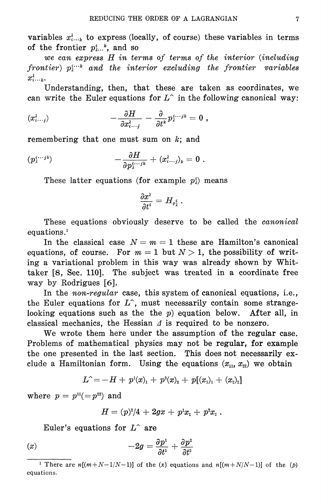variables  $x_{i...k}$  to express (locally, of course) these variables in terms of the frontier  $p_{i}^{i}$ ,  $k$ , and so

we can express H in terms of terms of the interior (including frontier)  $p_i^{i \ldots k}$  and the interior excluding the frontier variables  $x_i^{\lambda}$ ...

Understanding, then, that these are taken as coordinates, we can write the Euler equations for  $L^{\hat{ }}$  in the following canonical way:

$$
(x_{i\cdots j}^{\lambda}) \qquad \qquad -\frac{\partial H}{\partial x_{i\cdots j}^{\lambda}} - \frac{\partial}{\partial t^{k}} p_{\lambda}^{i\cdots jk} = 0 ,
$$

remembering that one must sum on  $k$ ; and

$$
(p_2^{i\cdots jk})\qquad \qquad -\frac{\partial H}{\partial p_2^{i\cdots jk}}+(x_{i\cdots j}^{\lambda})_k=0\;.
$$

These latter equations (for example  $p_i^i$ ) means

$$
\frac{\partial x^{\lambda}}{\partial t^i}=H_{p^i_{\lambda}}\ .
$$

These equations obviously deserve to be called the *canonical* equations.<sup>1</sup>

In the classical case  $N = m = 1$  these are Hamilton's canonical equations, of course. For  $m = 1$  but  $N > 1$ , the possibility of writing a variational problem in this way was already shown by Whittaker [8, Sec. 110]. The subject was treated in a coordinate free way by Rodrigues  $[6]$ .

In the *non-regular* case, this system of canonical equations, i.e., the Euler equations for  $L^{\hat{ }}$ , must necessarily contain some strangelooking equations such as the the  $p$ ) equation below. After all, in classical mechanics, the Hessian  $\Delta$  is required to be nonzero.

We wrote them here under the assumption of the regular case. Problems of mathematical physics may not be regular, for example the one presented in the last section. This does not necessarily exclude a Hamiltonian form. Using the equations  $(x_{11}, x_{22})$  we obtain

$$
L^{\widehat{}}=-H+\text{ }p^{\scriptscriptstyle{1}}(x)_{\scriptscriptstyle{1}}+\text{ }p^{\scriptscriptstyle{2}}(x)_{\scriptscriptstyle{2}}+\text{ }p[(x_{\scriptscriptstyle{1}})_{\scriptscriptstyle{1}}+(x_{\scriptscriptstyle{2}})_{\scriptscriptstyle{2}}]
$$

where  $p = p^{11}(-p^{22})$  and

$$
H = (p)^2/4 \, + \, 2gx \, + \, p^1x_1 \, + \, p^2x_2 \; .
$$

Euler's equations for  $L^{\frown}$  are

$$
(x) \t -2g = \frac{\partial p^1}{\partial t^1} + \frac{\partial p^2}{\partial t^2}
$$

<sup>&</sup>lt;sup>1</sup> There are  $n[(m+N-1/N-1)]$  of the (x) equations and  $n[(m+N/N-1)]$  of the (p) equations.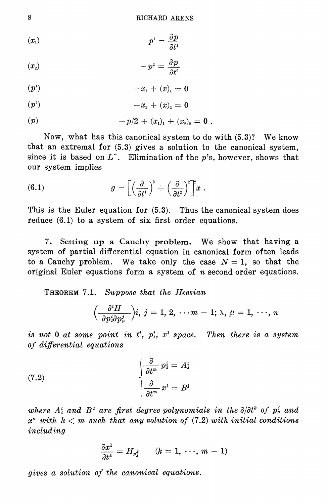$$
(x_1) \t\t -p^1=\frac{\partial p}{\partial t^1}
$$

$$
(x_2) \hspace{3.1em} -p^2 = \frac{\partial p}{\partial t^2}
$$

$$
(p1) \t -x1 + (x)1 = 0
$$

$$
(p^2) \t -x_2 + (x)_2 = 0
$$

$$
(p) \t\t -p/2+(x1)1+(x2)2=0.
$$

Now, what has this canonical system to do with (5.3)? We know that an extremal for  $(5.3)$  gives a solution to the canonical system. since it is based on  $L^{\hat{ }}$ . Elimination of the *v*'s, however, shows that our system implies

(6.1) 
$$
g = \left[ \left( \frac{\partial}{\partial t^1} \right)^2 + \left( \frac{\partial}{\partial t^2} \right)^2 \right]^2 x.
$$

This is the Euler equation for  $(5.3)$ . Thus the canonical system does reduce  $(6.1)$  to a system of six first order equations.

7. Setting up a Cauchy problem. We show that having a system of partial differential equation in canonical form often leads to a Cauchy problem. We take only the case  $N = 1$ , so that the original Euler equations form a system of  $n$  second order equations.

THEOREM 7.1. Suppose that the Hessian

$$
\Big(\frac{\partial^2 H}{\partial p^i_{i}\partial p^j_{\mu}}\Big) i, \, j=1,\,2,\, \cdots m-1; \, \textcolor{black}{\lambda},\, \mu=1,\, \cdots,\, n
$$

is not 0 at some point in  $t^i$ ,  $p^i$ ,  $x^i$  space. Then there is a system of differential equations

(7.2) 
$$
\begin{cases} \frac{\partial}{\partial t^m} p_{\lambda}^i = A_{\lambda}^i \\ \frac{\partial}{\partial t^m} x^{\lambda} = B^{\lambda} \end{cases}
$$

where  $A_i^i$  and  $B_j^i$  are first degree polynomials in the  $\partial/\partial t^k$  of  $p_u^i$  and  $x^{\mu}$  with  $k < m$  such that any solution of (7.2) with initial conditions including

$$
\frac{\partial x^{\lambda}}{\partial t^k} = H_{p_A^k} \qquad (k = 1, \ldots, m-1)
$$

gives a solution of the canonical equations.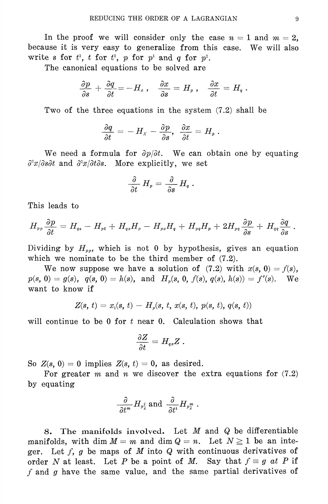In the proof we will consider only the case  $n = 1$  and  $m = 2$ , because it is very easy to generalize from this case. We will also write s for  $t^1$ , t for  $t^2$ , p for  $p^1$  and q for  $p^2$ .

The canonical equations to be solved are

$$
\frac{\partial p}{\partial s}\,+\,\frac{\partial q}{\partial t} \,{=}\, {-}\,H_{\textit{\tiny{X}}}\;,\quad \frac{\partial x}{\partial s}\,=\,H_{\textit{\tiny{P}}}\;,\quad \frac{\partial x}{\partial t}\,=\,H_{\textit{\tiny{q}}}\;.
$$

Two of the three equations in the system  $(7.2)$  shall be

$$
\frac{\partial q}{\partial t} = - H_x - \frac{\partial p}{\partial s}, \ \ \frac{\partial x}{\partial t} = H_p \ .
$$

We need a formula for  $\partial p/\partial t$ . We can obtain one by equating  $\frac{\partial^2 x}{\partial s \partial t}$  and  $\frac{\partial^2 x}{\partial t \partial s}$ . More explicitly, we set

$$
\frac{\partial}{\partial t}\;H_p=\frac{\partial}{\partial s}\,H_q\;.
$$

This leads to

$$
H_{pp}\frac{\partial p}{\partial t}=H_{qs}-H_{pt}+H_{qs}H_p-H_{px}H_q+H_{pq}H_p+2H_{pq}\frac{\partial p}{\partial s}+H_{qq}\frac{\partial q}{\partial s}.
$$

Dividing by  $H_{\nu\nu}$ , which is not 0 by hypothesis, gives an equation which we nominate to be the third member of  $(7.2)$ .

We now suppose we have a solution of (7.2) with  $x(s, 0) = f(s)$ ,  $p(s, 0) = g(s), q(s, 0) = h(s), \text{ and } H<sub>v</sub>(s, 0, f(s), q(s), h(s)) = f'(s).$  We want to know if

$$
Z(s, t) = x_i(s, t) - H_p(s, t, x(s, t), p(s, t), q(s, t))
$$

will continue to be  $0$  for  $t$  near  $0$ . Calculation shows that

$$
\frac{\partial Z}{\partial t}=H_{qx}Z\ .
$$

So  $Z(s, 0) = 0$  implies  $Z(s, t) = 0$ , as desired.

For greater  $m$  and  $n$  we discover the extra equations for  $(7.2)$ by equating

$$
\frac{\partial}{\partial t^{m}}H_{p^{i}_{\lambda}} \text{ and } \frac{\partial}{\partial t^{i}}H_{p^{m}_{\lambda}} \ .
$$

The manifolds involved. Let  $M$  and  $Q$  be differentiable 8. manifolds, with dim  $M = m$  and dim  $Q = n$ . Let  $N \ge 1$  be an integer. Let  $f$ ,  $g$  be maps of  $M$  into  $Q$  with continuous derivatives of order N at least. Let P be a point of M. Say that  $f \equiv g$  at P if f and g have the same value, and the same partial derivatives of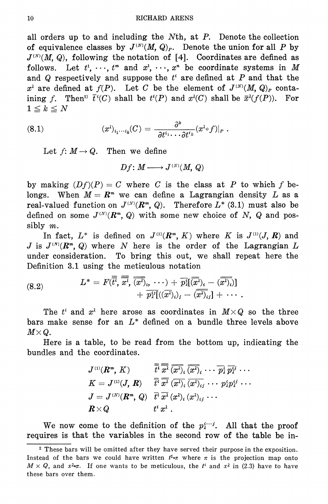all orders up to and including the  $N<sup>th</sup>$ , at  $P$ . Denote the collection of equivalence classes by  $J^{(N)}(M, Q)_P$ . Denote the union for all P by  $J^{(N)}(M, Q)$ , following the notation of [4]. Coordinates are defined as follows. Let  $t^1, \dots, t^m$  and  $x^1, \dots, x^n$  be coordinate systems in M and  $Q$  respectively and suppose the  $t^i$  are defined at  $P$  and that the  $x^{\lambda}$  are defined at  $f(P)$ . Let C be the element of  $J^{(N)}(M, Q)_P$  containing f. Then<sup>2</sup>  $\bar{t}^i(C)$  shall be  $t^i(P)$  and  $x^i(C)$  shall be  $\bar{x}^i(f(P))$ . For  $1\leq k\leq N$ 

(8.1) 
$$
(x^{\lambda})_{i_1\cdots i_k}(C) = \frac{\partial^k}{\partial t^{i_1}\cdots \partial t^{i_k}}(x^{\lambda} \circ f)|_P.
$$

Let  $f: M \to Q$ . Then we define

$$
Df\colon M\longrightarrow J^{\scriptscriptstyle{(N)}}(M,\,Q)
$$

by making  $(Df)(P) = C$  where C is the class at P to which f belongs. When  $M = \mathbb{R}^m$  we can define a Lagrangian density L as a real-valued function on  $J^{(N)}(R^m, Q)$ . Therefore  $L^*(3.1)$  must also be defined on some  $J^{(N)}(R^m, Q)$  with some new choice of N, Q and possibly  $m$ .

In fact,  $L^*$  is defined on  $J^{(1)}(R^m, K)$  where K is  $J^{(1)}(J, R)$  and J is  $J^{(N)}(R^m, Q)$  where N here is the order of the Lagrangian L under consideration. To bring this out, we shall repeat here the Definition 3.1 using the meticulous notation

(8.2) 
$$
L^* = F(\overline{\overline{t}^i}, \overline{\overline{x^i}}, \overline{(\overline{x^i})_i, \cdots) + \overline{p_i^i}[\overline{x^i})_i - \overline{(\overline{x^i})_i}]\n+ \overline{p_i^i}[\overline{(\overline{x^i})_i}_j - \overline{(\overline{x^i})_i}]+ \cdots.
$$

The  $t^i$  and  $x^{\lambda}$  here arose as coordinates in  $M \times Q$  so the three bars make sense for an  $L^*$  defined on a bundle three levels above  $M \times Q$ .

Here is a table, to be read from the bottom up, indicating the bundles and the coordinates.

$$
\begin{array}{lll}J^{\scriptscriptstyle{(1)}}(\pmb{R}^m,\,K)&\overline{t^i}\,\overline{x^{\lambda}}\,\overline{(\overline{x^{\lambda}})_i}\,\overline{(\overline{x^{\lambda}})_i}\,\cdots\,\overline{p^i_{\lambda}}\,\overline{p^i_{\lambda^j}}\,\cdots\\ K=J^{\scriptscriptstyle{(1)}}(J,\,\pmb{R})&\overline{t^i}\,\overline{x^{\lambda}}\,\overline{(\overline{x^{\lambda}})_i}\,\overline{(\overline{x^{\lambda}})_{ij}}\,\cdots\,\overline{p^i_{\lambda}}\overline{p^i_{\lambda^j}}\,\cdots\\ J=J^{\scriptscriptstyle{(N)}}(\pmb{R}^m,\,Q)&\overline{t^i}\,\overline{x^{\lambda}}\,(x^{\lambda})_i\,(x^{\lambda})_{ij}\,\cdots\\ \pmb{R}\times Q&t^i\,x^{\lambda}\,\,.\end{array}
$$

We now come to the definition of the  $p_i^{i \cdots j}$ . All that the proof requires is that the variables in the second row of the table be in-

<sup>&</sup>lt;sup>2</sup> These bars will be omitted after they have served their purpose in the exposition. Instead of the bars we could have written  $t^{1-\pi}$  where  $\pi$  is the projection map onto  $M \times Q$ , and  $x^2 \in \mathbb{R}$  if one wants to be meticulous, the  $t^i$  and  $x^i$  in (2.3) have to have these bars over them.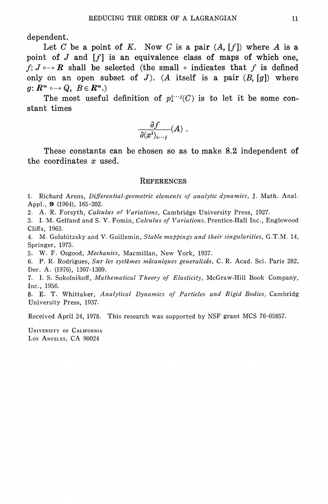dependent.

Let C be a point of K. Now C is a pair  $(A, [f])$  where A is a point of  $J$  and  $\lceil f \rceil$  is an equivalence class of maps of which one.  $f: J \rightarrow \mathbb{R}$  shall be selected (the small  $\circ$  indicates that f is defined only on an open subset of J. (A itself is a pair  $(B, [g])$  where  $g\colon R^m \circ \to Q, \; B \in R^m.$ 

The most useful definition of  $p_i^{i \cdots i}(C)$  is to let it be some constant times

$$
\frac{\partial f}{\partial (x^{\lambda})_{i\cdots j}}(A) .
$$

These constants can be chosen so as to make 8.2 independent of the coordinates  $x$  used.

#### **REFERENCES**

1. Richard Arens, Differential-geometric elements of analytic dynamics, J. Math. Anal. Appl., 9 (1964), 165-202.

2. A. R. Forsyth, Calculus of Variations, Cambridge University Press, 1927.

3. I. M. Gelfand and S. V. Fomin, Calculus of Variations, Prentice-Hall Inc., Englewood Cliffs, 1963.

4. M. Golubitzsky and V. Guillemin, Stable mappings and their singularities, G.T.M. 14, Springer, 1973.

5. W. F. Osgood, Mechanics, Macmillan, New York, 1937.

6. P. R. Rodrigues, Sur les systèmes mécaniques generalizés, C. R. Acad. Sci. Paris 282, Der. A. (1976), 1307-1309.

7. I. S. Sokolnikoff, Mathematical Theory of Elasticity, McGraw-Hill Book Company, Inc., 1956.

8. E. T. Whittaker, Analytical Dynamics of Particles and Rigid Bodies, Cambridg University Press, 1937.

Received April 24, 1978. This research was supported by NSF grant MCS 76-05857.

UNIVERSITY OF CALIFORNIA Los ANGELES, CA 90024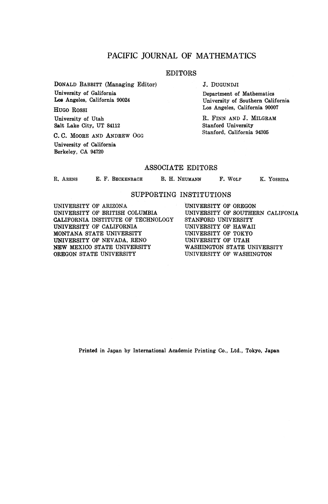#### PACIFIC JOURNAL OF MATHEMATICS

#### EDITORS

**DONALD BABBITT (Managing Editor) University of Galifornia Los Angeles, California 90024**

**HUGO ROSSI**

**University of Utah Salt Lake City, UT 84112**

**C. C. MOORE AND ANDREW OGG University of California Berkeley, CA 94720**

**J. DUGUNDJI**

**Department of Mathematics University of Southern California Los Angeles, California 90007**

**R. FINN AND J. MILGRAM Stanford University Stanford, California 94305**

#### ASSOCIATE EDITORS

**R. ARENS E. F. BEGKENBAGH B. H. NEUMANN F. WOLF K. YOSHIDA**

#### SUPPORTING INSTITUTIONS

**UNIVERSITY OF ARIZONA UNIVERSITY OF BRITISH COLUMBIA CALIFORNIA INSTITUTE OF TECHNOLOGY UNIVERSITY OF CALIFORNIA MONTANA STATE UNIVERSITY UNIVERSITY OF NEVADA, RENO NEW MEXICO STATE UNIVERSITY OREGON STATE UNIVERSITY**

**UNIVERSITY OF OREGON UNIVERSITY OF SOUTHERN CALIFONIA STANFORD UNIVERSITY UNIVERSITY OF HAWAII UNIVERSITY OF TOKYO UNIVERSITY OF UTAH WASHINGTON STATE UNIVERSITY UNIVERSITY OF WASHINGTON**

**Printed in Japan by International Academic Printing Co., Ltd., Tokyo, Japan**